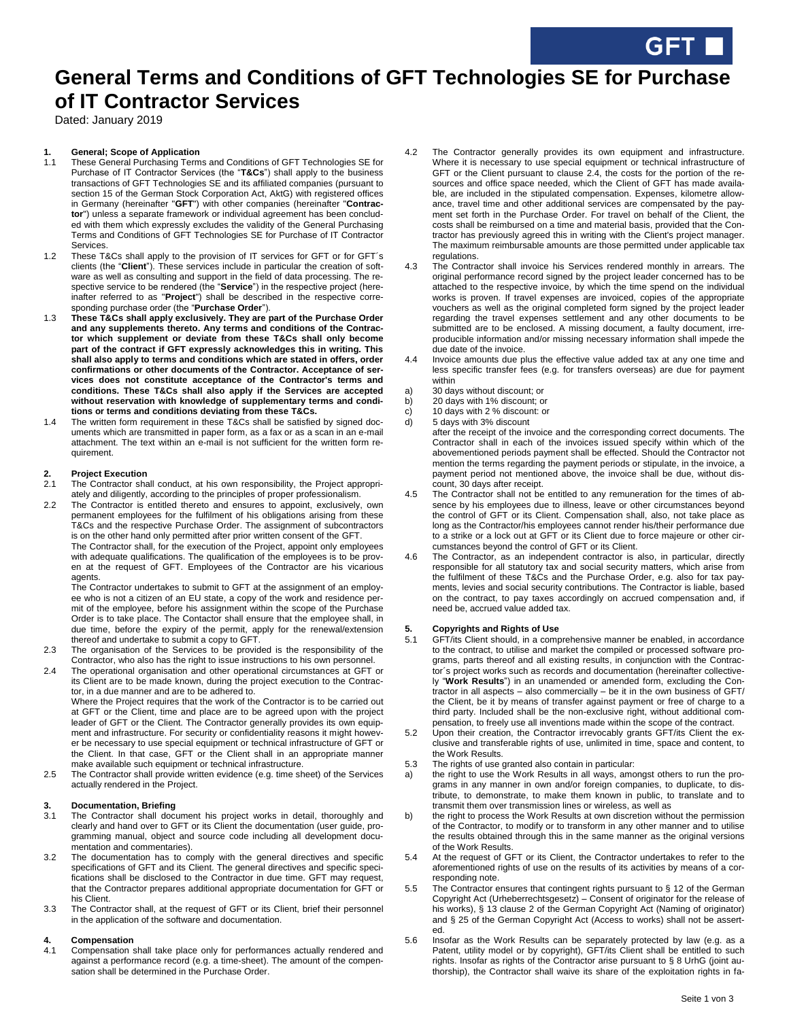# **General Terms and Conditions of GFT Technologies SE for Purchase of IT Contractor Services**

Dated: January 2019

## **1. General; Scope of Application**

- 1.1 These General Purchasing Terms and Conditions of GFT Technologies SE for Purchase of IT Contractor Services (the "**T&Cs**") shall apply to the business transactions of GFT Technologies SE and its affiliated companies (pursuant to section 15 of the German Stock Corporation Act, AktG) with registered offices in Germany (hereinafter "**GFT**") with other companies (hereinafter "**Contractor**") unless a separate framework or individual agreement has been concluded with them which expressly excludes the validity of the General Purchasing Terms and Conditions of GFT Technologies SE for Purchase of IT Contractor **Services**
- 1.2 These T&Cs shall apply to the provision of IT services for GFT or for GFT´s clients (the "**Client**"). These services include in particular the creation of software as well as consulting and support in the field of data processing. The respective service to be rendered (the "**Service**") in the respective project (hereinafter referred to as "**Project**") shall be described in the respective corresponding purchase order (the "**Purchase Order**").
- 1.3 **These T&Cs shall apply exclusively. They are part of the Purchase Order and any supplements thereto. Any terms and conditions of the Contractor which supplement or deviate from these T&Cs shall only become part of the contract if GFT expressly acknowledges this in writing. This shall also apply to terms and conditions which are stated in offers, order confirmations or other documents of the Contractor. Acceptance of services does not constitute acceptance of the Contractor's terms and conditions. These T&Cs shall also apply if the Services are accepted without reservation with knowledge of supplementary terms and conditions or terms and conditions deviating from these T&Cs.**
- 1.4 The written form requirement in these T&Cs shall be satisfied by signed documents which are transmitted in paper form, as a fax or as a scan in an e-mail attachment. The text within an e-mail is not sufficient for the written form requirement.

## **2. Project Execution**

- The Contractor shall conduct, at his own responsibility, the Project appropriately and diligently, according to the principles of proper professionalism.
- 2.2 The Contractor is entitled thereto and ensures to appoint, exclusively, own permanent employees for the fulfilment of his obligations arising from these T&Cs and the respective Purchase Order. The assignment of subcontractors is on the other hand only permitted after prior written consent of the GFT.

The Contractor shall, for the execution of the Project, appoint only employees with adequate qualifications. The qualification of the employees is to be proven at the request of GFT. Employees of the Contractor are his vicarious agents

The Contractor undertakes to submit to GFT at the assignment of an employee who is not a citizen of an EU state, a copy of the work and residence permit of the employee, before his assignment within the scope of the Purchase Order is to take place. The Contactor shall ensure that the employee shall, in due time, before the expiry of the permit, apply for the renewal/extension thereof and undertake to submit a copy to GFT.

- 2.3 The organisation of the Services to be provided is the responsibility of the Contractor, who also has the right to issue instructions to his own personnel.
- 2.4 The operational organisation and other operational circumstances at GFT or its Client are to be made known, during the project execution to the Contractor, in a due manner and are to be adhered to.

Where the Project requires that the work of the Contractor is to be carried out at GFT or the Client, time and place are to be agreed upon with the project leader of GFT or the Client. The Contractor generally provides its own equipment and infrastructure. For security or confidentiality reasons it might however be necessary to use special equipment or technical infrastructure of GFT or the Client. In that case, GFT or the Client shall in an appropriate manner make available such equipment or technical infrastructure.

2.5 The Contractor shall provide written evidence (e.g. time sheet) of the Services actually rendered in the Project.

## **3. Documentation, Briefing**

- 3.1 The Contractor shall document his project works in detail, thoroughly and clearly and hand over to GFT or its Client the documentation (user guide, programming manual, object and source code including all development documentation and commentaries).
- 3.2 The documentation has to comply with the general directives and specific specifications of GFT and its Client. The general directives and specific specifications shall be disclosed to the Contractor in due time. GFT may request, that the Contractor prepares additional appropriate documentation for GFT or his Client.
- 3.3 The Contractor shall, at the request of GFT or its Client, brief their personnel in the application of the software and documentation.

## **4. Compensation**

4.1 Compensation shall take place only for performances actually rendered and against a performance record (e.g. a time-sheet). The amount of the compensation shall be determined in the Purchase Order.

- 4.2 The Contractor generally provides its own equipment and infrastructure. Where it is necessary to use special equipment or technical infrastructure of GFT or the Client pursuant to clause 2.4, the costs for the portion of the resources and office space needed, which the Client of GFT has made available, are included in the stipulated compensation. Expenses, kilometre allowance, travel time and other additional services are compensated by the payment set forth in the Purchase Order. For travel on behalf of the Client, the costs shall be reimbursed on a time and material basis, provided that the Contractor has previously agreed this in writing with the Client's project manager. The maximum reimbursable amounts are those permitted under applicable tax regulations.
- 4.3 The Contractor shall invoice his Services rendered monthly in arrears. The original performance record signed by the project leader concerned has to be attached to the respective invoice, by which the time spend on the individual works is proven. If travel expenses are invoiced, copies of the appropriate vouchers as well as the original completed form signed by the project leader regarding the travel expenses settlement and any other documents to be submitted are to be enclosed. A missing document, a faulty document, irreproducible information and/or missing necessary information shall impede the due date of the invoice.
- Invoice amounts due plus the effective value added tax at any one time and less specific transfer fees (e.g. for transfers overseas) are due for payment within
- a) 30 days without discount; or
- b) 20 days with 1% discount; or
- c)  $10 \text{ days}$  with 2 % discount: or<br>d)  $5 \text{ days}$  with 3% discount
- 5 days with 3% discount
	- after the receipt of the invoice and the corresponding correct documents. The Contractor shall in each of the invoices issued specify within which of the abovementioned periods payment shall be effected. Should the Contractor not mention the terms regarding the payment periods or stipulate, in the invoice, a payment period not mentioned above, the invoice shall be due, without discount, 30 days after receipt.
- 4.5 The Contractor shall not be entitled to any remuneration for the times of absence by his employees due to illness, leave or other circumstances beyond the control of GFT or its Client. Compensation shall, also, not take place as long as the Contractor/his employees cannot render his/their performance due to a strike or a lock out at GFT or its Client due to force majeure or other circumstances beyond the control of GFT or its Client.
- 4.6 The Contractor, as an independent contractor is also, in particular, directly responsible for all statutory tax and social security matters, which arise from the fulfilment of these T&Cs and the Purchase Order, e.g. also for tax payments, levies and social security contributions. The Contractor is liable, based on the contract, to pay taxes accordingly on accrued compensation and, if need be, accrued value added tax.

## **5. Copyrights and Rights of Use**

- 5.1 GFT/its Client should, in a comprehensive manner be enabled, in accordance to the contract, to utilise and market the compiled or processed software programs, parts thereof and all existing results, in conjunction with the Contractor´s project works such as records and documentation (hereinafter collectively "**Work Results**") in an unamended or amended form, excluding the Contractor in all aspects – also commercially – be it in the own business of GFT/ the Client, be it by means of transfer against payment or free of charge to a third party. Included shall be the non-exclusive right, without additional compensation, to freely use all inventions made within the scope of the contract.
- 5.2 Upon their creation, the Contractor irrevocably grants GFT/its Client the exclusive and transferable rights of use, unlimited in time, space and content, to the Work Results.
- 5.3 The rights of use granted also contain in particular:
- a) the right to use the Work Results in all ways, amongst others to run the programs in any manner in own and/or foreign companies, to duplicate, to distribute, to demonstrate, to make them known in public, to translate and to transmit them over transmission lines or wireless, as well as
- b) the right to process the Work Results at own discretion without the permission of the Contractor, to modify or to transform in any other manner and to utilise the results obtained through this in the same manner as the original versions of the Work Results.
- 5.4 At the request of GFT or its Client, the Contractor undertakes to refer to the aforementioned rights of use on the results of its activities by means of a corresponding note.
- 5.5 The Contractor ensures that contingent rights pursuant to § 12 of the German Copyright Act (Urheberrechtsgesetz) – Consent of originator for the release of his works), § 13 clause 2 of the German Copyright Act (Naming of originator) and § 25 of the German Copyright Act (Access to works) shall not be asserted.
- 5.6 Insofar as the Work Results can be separately protected by law (e.g. as a Patent, utility model or by copyright), GFT/its Client shall be entitled to such rights. Insofar as rights of the Contractor arise pursuant to § 8 UrhG (joint authorship), the Contractor shall waive its share of the exploitation rights in fa-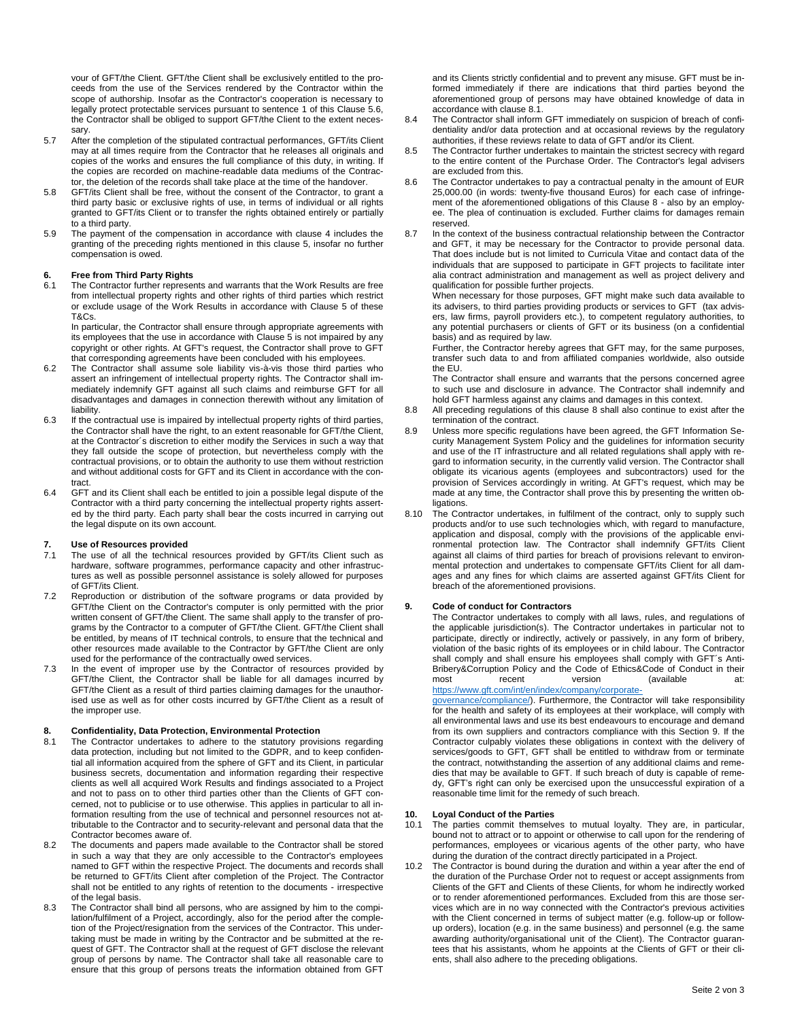vour of GFT/the Client. GFT/the Client shall be exclusively entitled to the proceeds from the use of the Services rendered by the Contractor within the scope of authorship. Insofar as the Contractor's cooperation is necessary to legally protect protectable services pursuant to sentence 1 of this Clause 5.6, the Contractor shall be obliged to support GFT/the Client to the extent necessary.

- 5.7 After the completion of the stipulated contractual performances, GFT/its Client may at all times require from the Contractor that he releases all originals and copies of the works and ensures the full compliance of this duty, in writing. If the copies are recorded on machine-readable data mediums of the Contractor, the deletion of the records shall take place at the time of the handover.
- 5.8 GFT/its Client shall be free, without the consent of the Contractor, to grant a third party basic or exclusive rights of use, in terms of individual or all rights granted to GFT/its Client or to transfer the rights obtained entirely or partially to a third party.
- 5.9 The payment of the compensation in accordance with clause 4 includes the granting of the preceding rights mentioned in this clause 5, insofar no further compensation is owed.

## **6. Free from Third Party Rights**

6.1 The Contractor further represents and warrants that the Work Results are free from intellectual property rights and other rights of third parties which restrict or exclude usage of the Work Results in accordance with Clause 5 of these T&Cs.

In particular, the Contractor shall ensure through appropriate agreements with its employees that the use in accordance with Clause 5 is not impaired by any copyright or other rights. At GFT's request, the Contractor shall prove to GFT that corresponding agreements have been concluded with his employees.

- 6.2 The Contractor shall assume sole liability vis-à-vis those third parties who assert an infringement of intellectual property rights. The Contractor shall immediately indemnify GFT against all such claims and reimburse GFT for all disadvantages and damages in connection therewith without any limitation of liability.
- 6.3 If the contractual use is impaired by intellectual property rights of third parties, the Contractor shall have the right, to an extent reasonable for GFT/the Client, at the Contractor´s discretion to either modify the Services in such a way that they fall outside the scope of protection, but nevertheless comply with the contractual provisions, or to obtain the authority to use them without restriction and without additional costs for GFT and its Client in accordance with the contract.
- 6.4 GFT and its Client shall each be entitled to join a possible legal dispute of the Contractor with a third party concerning the intellectual property rights asserted by the third party. Each party shall bear the costs incurred in carrying out the legal dispute on its own account.

## **7. Use of Resources provided**

- 7.1 The use of all the technical resources provided by GFT/its Client such as hardware, software programmes, performance capacity and other infrastructures as well as possible personnel assistance is solely allowed for purposes of GFT/its Client.
- 7.2 Reproduction or distribution of the software programs or data provided by GFT/the Client on the Contractor's computer is only permitted with the prior written consent of GFT/the Client. The same shall apply to the transfer of programs by the Contractor to a computer of GFT/the Client. GFT/the Client shall be entitled, by means of IT technical controls, to ensure that the technical and other resources made available to the Contractor by GFT/the Client are only used for the performance of the contractually owed services.
- 7.3 In the event of improper use by the Contractor of resources provided by GFT/the Client, the Contractor shall be liable for all damages incurred by GFT/the Client as a result of third parties claiming damages for the unauthorised use as well as for other costs incurred by GFT/the Client as a result of the improper use.

## **8. Confidentiality, Data Protection, Environmental Protection**

- The Contractor undertakes to adhere to the statutory provisions regarding data protection, including but not limited to the GDPR, and to keep confidential all information acquired from the sphere of GFT and its Client, in particular business secrets, documentation and information regarding their respective clients as well all acquired Work Results and findings associated to a Project and not to pass on to other third parties other than the Clients of GFT concerned, not to publicise or to use otherwise. This applies in particular to all information resulting from the use of technical and personnel resources not attributable to the Contractor and to security-relevant and personal data that the Contractor becomes aware of.
- 8.2 The documents and papers made available to the Contractor shall be stored in such a way that they are only accessible to the Contractor's employees named to GFT within the respective Project. The documents and records shall be returned to GFT/its Client after completion of the Project. The Contractor shall not be entitled to any rights of retention to the documents - irrespective of the legal basis.
- 8.3 The Contractor shall bind all persons, who are assigned by him to the compilation/fulfilment of a Project, accordingly, also for the period after the completion of the Project/resignation from the services of the Contractor. This undertaking must be made in writing by the Contractor and be submitted at the request of GFT. The Contractor shall at the request of GFT disclose the relevant group of persons by name. The Contractor shall take all reasonable care to ensure that this group of persons treats the information obtained from GFT

and its Clients strictly confidential and to prevent any misuse. GFT must be informed immediately if there are indications that third parties beyond the aforementioned group of persons may have obtained knowledge of data in accordance with clause 8.1.

- 8.4 The Contractor shall inform GFT immediately on suspicion of breach of confidentiality and/or data protection and at occasional reviews by the regulatory authorities, if these reviews relate to data of GFT and/or its Client.
- 8.5 The Contractor further undertakes to maintain the strictest secrecy with regard to the entire content of the Purchase Order. The Contractor's legal advisers are excluded from this.
- 8.6 The Contractor undertakes to pay a contractual penalty in the amount of EUR 25,000.00 (in words: twenty-five thousand Euros) for each case of infringement of the aforementioned obligations of this Clause 8 - also by an employee. The plea of continuation is excluded. Further claims for damages remain reserved.
- 8.7 In the context of the business contractual relationship between the Contractor and GFT, it may be necessary for the Contractor to provide personal data. That does include but is not limited to Curricula Vitae and contact data of the individuals that are supposed to participate in GFT projects to facilitate inter alia contract administration and management as well as project delivery and qualification for possible further projects.

When necessary for those purposes, GFT might make such data available to its advisers, to third parties providing products or services to GFT (tax advisers, law firms, payroll providers etc.), to competent regulatory authorities, to any potential purchasers or clients of GFT or its business (on a confidential basis) and as required by law.

Further, the Contractor hereby agrees that GFT may, for the same purposes, transfer such data to and from affiliated companies worldwide, also outside the EU.

The Contractor shall ensure and warrants that the persons concerned agree to such use and disclosure in advance. The Contractor shall indemnify and hold GFT harmless against any claims and damages in this context.

- 8.8 All preceding regulations of this clause 8 shall also continue to exist after the termination of the contract.
- 8.9 Unless more specific regulations have been agreed, the GFT Information Security Management System Policy and the guidelines for information security and use of the IT infrastructure and all related regulations shall apply with regard to information security, in the currently valid version. The Contractor shall obligate its vicarious agents (employees and subcontractors) used for the provision of Services accordingly in writing. At GFT's request, which may be made at any time, the Contractor shall prove this by presenting the written obligations.
- 8.10 The Contractor undertakes, in fulfilment of the contract, only to supply such products and/or to use such technologies which, with regard to manufacture, application and disposal, comply with the provisions of the applicable environmental protection law. The Contractor shall indemnify GFT/its Client against all claims of third parties for breach of provisions relevant to environmental protection and undertakes to compensate GFT/its Client for all damages and any fines for which claims are asserted against GFT/its Client for breach of the aforementioned provisions.

## **9. Code of conduct for Contractors**

The Contractor undertakes to comply with all laws, rules, and regulations of the applicable jurisdiction(s). The Contractor undertakes in particular not to participate, directly or indirectly, actively or passively, in any form of bribery, violation of the basic rights of its employees or in child labour. The Contractor shall comply and shall ensure his employees shall comply with GFT´s Anti-Bribery&Corruption Policy and the Code of Ethics&Code of Conduct in their most recent version (available

[https://www.gft.com/int/en/index/company/corporate](https://www.gft.com/int/en/index/company/corporate-governance/compliance/)[governance/compliance/\).](https://www.gft.com/int/en/index/company/corporate-governance/compliance/) Furthermore, the Contractor will take responsibility for the health and safety of its employees at their workplace, will comply with all environmental laws and use its best endeavours to encourage and demand from its own suppliers and contractors compliance with this Section 9. If the Contractor culpably violates these obligations in context with the delivery of services/goods to GFT, GFT shall be entitled to withdraw from or terminate the contract, notwithstanding the assertion of any additional claims and remedies that may be available to GFT. If such breach of duty is capable of remedy, GFT's right can only be exercised upon the unsuccessful expiration of a

### **10. Loyal Conduct of the Parties**

10.1 The parties commit themselves to mutual loyalty. They are, in particular, bound not to attract or to appoint or otherwise to call upon for the rendering of performances, employees or vicarious agents of the other party, who have during the duration of the contract directly participated in a Project.

reasonable time limit for the remedy of such breach.

10.2 The Contractor is bound during the duration and within a year after the end of the duration of the Purchase Order not to request or accept assignments from Clients of the GFT and Clients of these Clients, for whom he indirectly worked or to render aforementioned performances. Excluded from this are those services which are in no way connected with the Contractor's previous activities with the Client concerned in terms of subject matter (e.g. follow-up or followup orders), location (e.g. in the same business) and personnel (e.g. the same awarding authority/organisational unit of the Client). The Contractor guarantees that his assistants, whom he appoints at the Clients of GFT or their clients, shall also adhere to the preceding obligations.